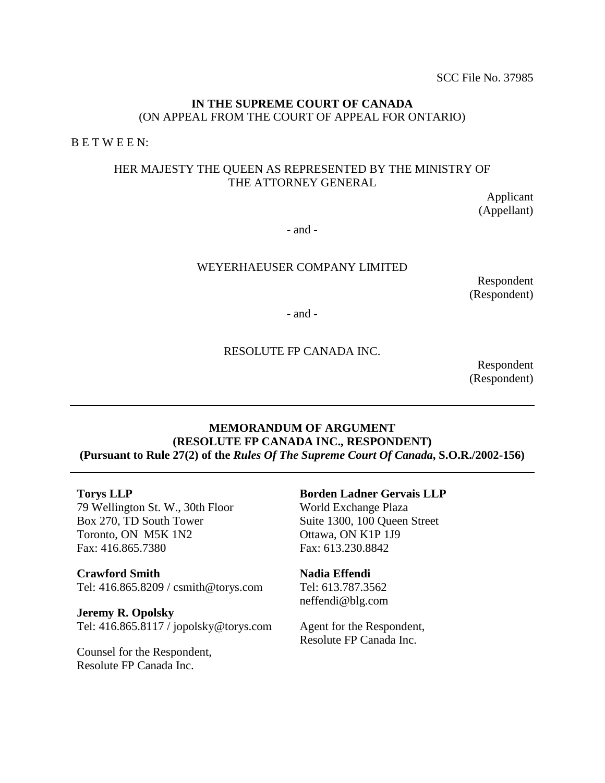# **IN THE SUPREME COURT OF CANADA**  (ON APPEAL FROM THE COURT OF APPEAL FOR ONTARIO)

B E T W E E N:

# HER MAJESTY THE QUEEN AS REPRESENTED BY THE MINISTRY OF THE ATTORNEY GENERAL

Applicant (Appellant)

- and -

# WEYERHAEUSER COMPANY LIMITED

Respondent (Respondent)

- and -

## RESOLUTE FP CANADA INC.

Respondent (Respondent)

# **MEMORANDUM OF ARGUMENT (RESOLUTE FP CANADA INC., RESPONDENT) (Pursuant to Rule 27(2) of the** *Rules Of The Supreme Court Of Canada***, S.O.R./2002-156)**

#### **Torys LLP**

79 Wellington St. W., 30th Floor Box 270, TD South Tower Toronto, ON M5K 1N2 Fax: 416.865.7380

**Crawford Smith**  Tel: 416.865.8209 / csmith@torys.com

**Jeremy R. Opolsky**  Tel: 416.865.8117 / jopolsky@torys.com

Counsel for the Respondent, Resolute FP Canada Inc.

#### **Borden Ladner Gervais LLP**

World Exchange Plaza Suite 1300, 100 Queen Street Ottawa, ON K1P 1J9 Fax: 613.230.8842

# **Nadia Effendi** Tel: 613.787.3562

neffendi@blg.com

Agent for the Respondent, Resolute FP Canada Inc.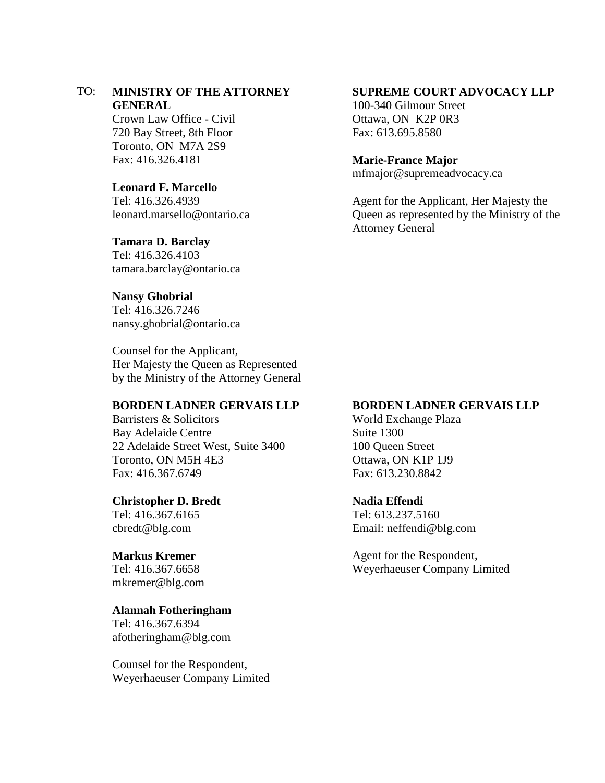# TO: **MINISTRY OF THE ATTORNEY GENERAL**

Crown Law Office - Civil 720 Bay Street, 8th Floor Toronto, ON M7A 2S9 Fax: 416.326.4181

# **Leonard F. Marcello**

Tel: 416.326.4939 leonard.marsello@ontario.ca

#### **Tamara D. Barclay**

Tel: 416.326.4103 tamara.barclay@ontario.ca

#### **Nansy Ghobrial**

Tel: 416.326.7246 nansy.ghobrial@ontario.ca

Counsel for the Applicant, Her Majesty the Queen as Represented by the Ministry of the Attorney General

## **BORDEN LADNER GERVAIS LLP**

Barristers & Solicitors Bay Adelaide Centre 22 Adelaide Street West, Suite 3400 Toronto, ON M5H 4E3 Fax: 416.367.6749

#### **Christopher D. Bredt**

Tel: 416.367.6165 cbredt@blg.com

## **Markus Kremer**

Tel: 416.367.6658 mkremer@blg.com

### **Alannah Fotheringham**

Tel: 416.367.6394 afotheringham@blg.com

Counsel for the Respondent, Weyerhaeuser Company Limited

## **SUPREME COURT ADVOCACY LLP**

100-340 Gilmour Street Ottawa, ON K2P 0R3 Fax: 613.695.8580

#### **Marie-France Major**

mfmajor@supremeadvocacy.ca

Agent for the Applicant, Her Majesty the Queen as represented by the Ministry of the Attorney General

#### **BORDEN LADNER GERVAIS LLP**

World Exchange Plaza Suite 1300 100 Queen Street Ottawa, ON K1P 1J9 Fax: 613.230.8842

## **Nadia Effendi**

Tel: 613.237.5160 Email: neffendi@blg.com

Agent for the Respondent, Weyerhaeuser Company Limited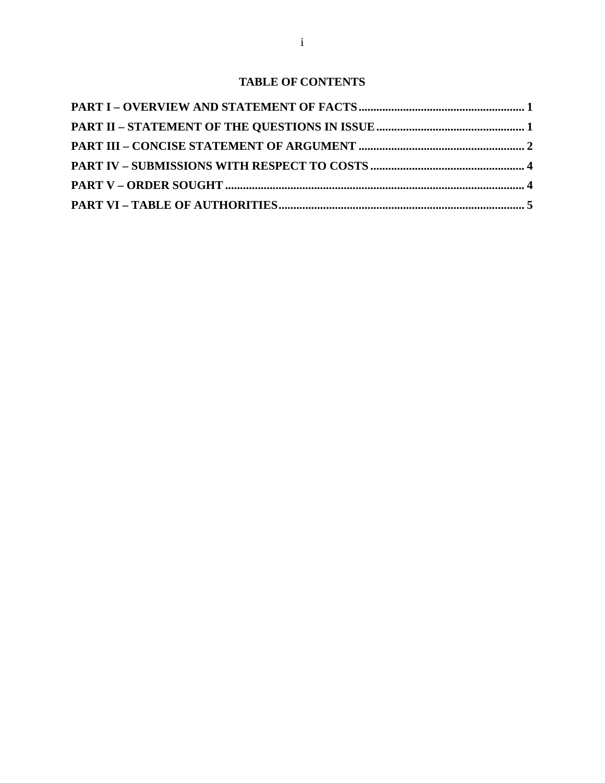# **TABLE OF CONTENTS**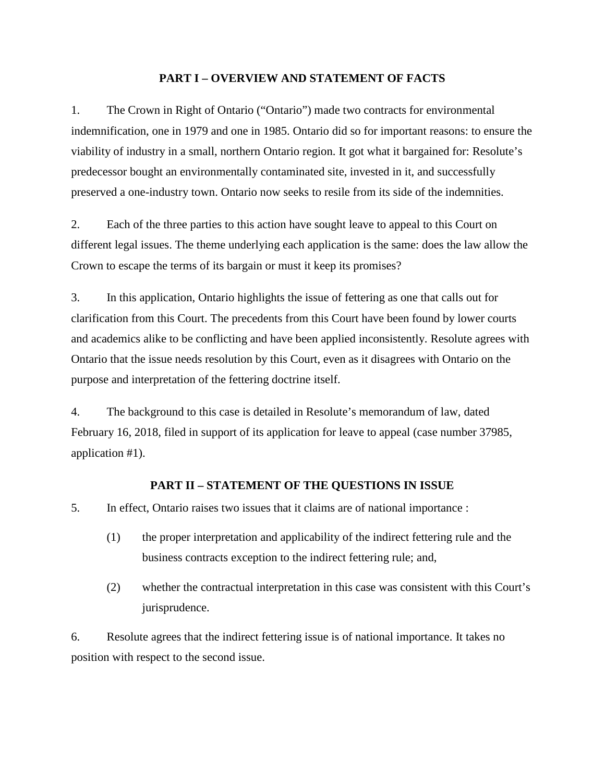## <span id="page-3-0"></span>**PART I – OVERVIEW AND STATEMENT OF FACTS**

1. The Crown in Right of Ontario ("Ontario") made two contracts for environmental indemnification, one in 1979 and one in 1985. Ontario did so for important reasons: to ensure the viability of industry in a small, northern Ontario region. It got what it bargained for: Resolute's predecessor bought an environmentally contaminated site, invested in it, and successfully preserved a one-industry town. Ontario now seeks to resile from its side of the indemnities.

2. Each of the three parties to this action have sought leave to appeal to this Court on different legal issues. The theme underlying each application is the same: does the law allow the Crown to escape the terms of its bargain or must it keep its promises?

3. In this application, Ontario highlights the issue of fettering as one that calls out for clarification from this Court. The precedents from this Court have been found by lower courts and academics alike to be conflicting and have been applied inconsistently. Resolute agrees with Ontario that the issue needs resolution by this Court, even as it disagrees with Ontario on the purpose and interpretation of the fettering doctrine itself.

4. The background to this case is detailed in Resolute's memorandum of law, dated February 16, 2018, filed in support of its application for leave to appeal (case number 37985, application #1).

## <span id="page-3-1"></span>**PART II – STATEMENT OF THE QUESTIONS IN ISSUE**

5. In effect, Ontario raises two issues that it claims are of national importance :

- (1) the proper interpretation and applicability of the indirect fettering rule and the business contracts exception to the indirect fettering rule; and,
- (2) whether the contractual interpretation in this case was consistent with this Court's jurisprudence.

6. Resolute agrees that the indirect fettering issue is of national importance. It takes no position with respect to the second issue.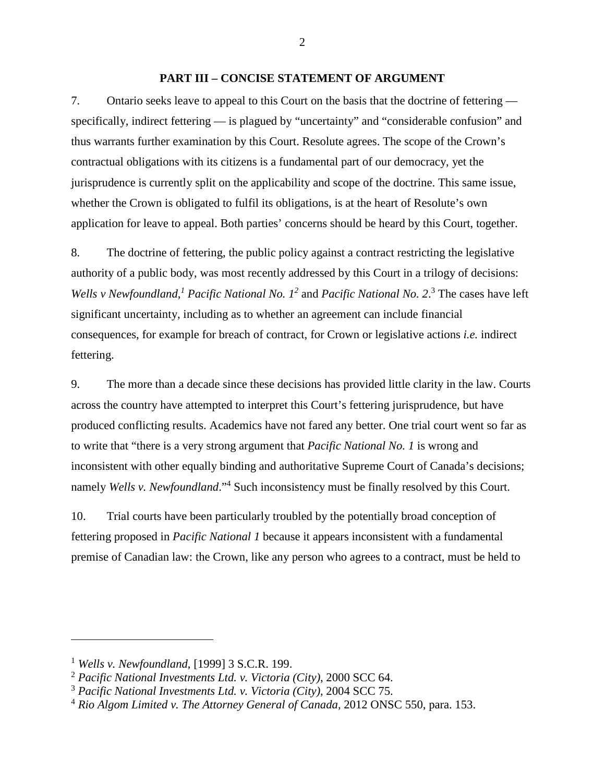#### <span id="page-4-0"></span>**PART III – CONCISE STATEMENT OF ARGUMENT**

7. Ontario seeks leave to appeal to this Court on the basis that the doctrine of fettering specifically, indirect fettering — is plagued by "uncertainty" and "considerable confusion" and thus warrants further examination by this Court. Resolute agrees. The scope of the Crown's contractual obligations with its citizens is a fundamental part of our democracy, yet the jurisprudence is currently split on the applicability and scope of the doctrine. This same issue, whether the Crown is obligated to fulfil its obligations, is at the heart of Resolute's own application for leave to appeal. Both parties' concerns should be heard by this Court, together.

8. The doctrine of fettering, the public policy against a contract restricting the legislative authority of a public body, was most recently addressed by this Court in a trilogy of decisions: *Wellsv Newfoundland*,<sup>[1](#page-4-1)</sup> *Pacific National No. 1<sup>2</sup> and <i>Pacific National No.* 2.<sup>3</sup> The cases have left significant uncertainty, including as to whether an agreement can include financial consequences, for example for breach of contract, for Crown or legislative actions *i.e.* indirect fettering.

9. The more than a decade since these decisions has provided little clarity in the law. Courts across the country have attempted to interpret this Court's fettering jurisprudence, but have produced conflicting results. Academics have not fared any better. One trial court went so far as to write that "there is a very strong argument that *Pacific National No. 1* is wrong and inconsistent with other equally binding and authoritative Supreme Court of Canada's decisions; namely *Wells v. Newfoundland*."<sup>[4](#page-4-4)</sup> Such inconsistency must be finally resolved by this Court.

10. Trial courts have been particularly troubled by the potentially broad conception of fettering proposed in *Pacific National 1* because it appears inconsistent with a fundamental premise of Canadian law: the Crown, like any person who agrees to a contract, must be held to

2

<span id="page-4-2"></span><span id="page-4-1"></span><sup>1</sup> *Wells v. Newfoundland*, [1999] 3 S.C.R. 199.

<span id="page-4-3"></span><sup>2</sup> *Pacific National Investments Ltd. v. Victoria (City)*, 2000 SCC 64.

<sup>3</sup> *Pacific National Investments Ltd. v. Victoria (City)*, 2004 SCC 75.

<span id="page-4-4"></span><sup>4</sup> *Rio Algom Limited v. The Attorney General of Canada,* 2012 ONSC 550, para. 153.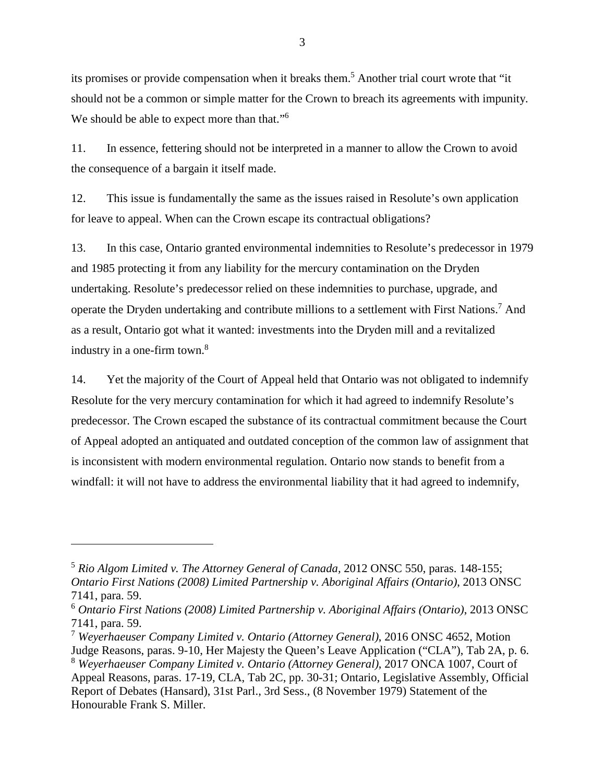its promises or provide compensation when it breaks them.<sup>[5](#page-5-0)</sup> Another trial court wrote that "it should not be a common or simple matter for the Crown to breach its agreements with impunity. We should be able to expect more than that."<sup>[6](#page-5-1)</sup>

11. In essence, fettering should not be interpreted in a manner to allow the Crown to avoid the consequence of a bargain it itself made.

12. This issue is fundamentally the same as the issues raised in Resolute's own application for leave to appeal. When can the Crown escape its contractual obligations?

13. In this case, Ontario granted environmental indemnities to Resolute's predecessor in 1979 and 1985 protecting it from any liability for the mercury contamination on the Dryden undertaking. Resolute's predecessor relied on these indemnities to purchase, upgrade, and operatethe Dryden undertaking and contribute millions to a settlement with First Nations.<sup>7</sup> And as a result, Ontario got what it wanted: investments into the Dryden mill and a revitalized industry in a one-firm town.<sup>[8](#page-5-3)</sup>

14. Yet the majority of the Court of Appeal held that Ontario was not obligated to indemnify Resolute for the very mercury contamination for which it had agreed to indemnify Resolute's predecessor. The Crown escaped the substance of its contractual commitment because the Court of Appeal adopted an antiquated and outdated conception of the common law of assignment that is inconsistent with modern environmental regulation. Ontario now stands to benefit from a windfall: it will not have to address the environmental liability that it had agreed to indemnify,

<span id="page-5-0"></span><sup>5</sup> *Rio Algom Limited v. The Attorney General of Canada,* 2012 ONSC 550, paras. 148-155; *Ontario First Nations (2008) Limited Partnership v. Aboriginal Affairs (Ontario)*, 2013 ONSC 7141, para. 59.

<span id="page-5-1"></span><sup>6</sup> *Ontario First Nations (2008) Limited Partnership v. Aboriginal Affairs (Ontario)*, 2013 ONSC 7141, para. 59.

<span id="page-5-3"></span><span id="page-5-2"></span><sup>7</sup> *Weyerhaeuser Company Limited v. Ontario (Attorney General)*, 2016 ONSC 4652, Motion Judge Reasons, paras. 9-10, Her Majesty the Queen's Leave Application ("CLA"), Tab 2A, p. 6. <sup>8</sup> *Weyerhaeuser Company Limited v. Ontario (Attorney General)*, 2017 ONCA 1007, Court of Appeal Reasons, paras. 17-19, CLA, Tab 2C, pp. 30-31; Ontario, Legislative Assembly, Official Report of Debates (Hansard), 31st Parl., 3rd Sess., (8 November 1979) Statement of the Honourable Frank S. Miller.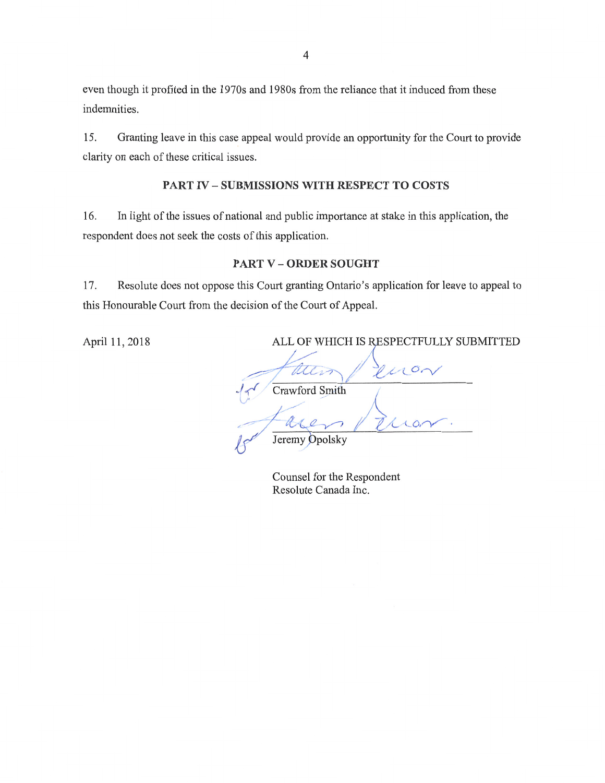even though it profited in the 1970s and **1980s** from the reliance that it induced from these indemnities.

15. Granting leave in this case appeal would provide an opportunity for the Court to provide clarity on each of these critical issues.

## **PART IV — SUBMISSIONS WITH RESPECT TO COSTS**

16. In light of the issues of national and public importance at stake in this application, the respondent does not seek the costs of this application.

## **PART V — ORDER SOUGHT**

17. Resolute does not oppose this Court granting Ontario's application for leave to appeal to this Honourable Court from the decision of the Court of Appeal.

April 11, 2018 ALL OF WHICH IS RESPECTFULLY SUBMITTED

Wels Crawford Smith Jeremy Opolsky

Counsel for the Respondent Resolute Canada Inc.